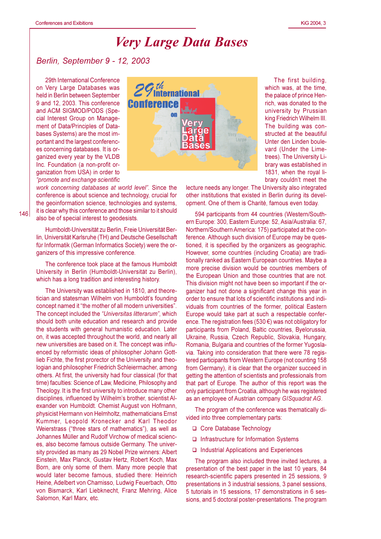## **Very Large Data Bases**

## Berlin, September 9 - 12, 2003

29th International Conference on Very Large Databases was held in Berlin between September 9 and 12, 2003. This conference and ACM SIGMOD/PODS (Special Interest Group on Management of Data/Principles of Databases Systems) are the most important and the largest conferences concerning databases. It is organized every year by the VLDB Inc. Foundation (a non-profit organization from USA) in order to "promote and exchange scientific



work concerning databases at world level". Since the conference is about science and technology, crucial for the geoinformation science, technologies and systems, it is clear why this conference and those similar to it should also be of special interest to geodesists.

Humboldt-Universität zu Berlin, Freie Universität Berlin, Universität Karlsruhe (TH) and Deutsche Gesellschaft für Informatik (German Informatics Society) were the organizers of this impressive conference.

The conference took place at the famous Humboldt University in Berlin (Humboldt-Universität zu Berlin), which has a long tradition and interesting history.

The University was established in 1810, and theoretician and statesman Wilhelm von Humboldt's founding concept named it "the mother of all modern universities". The concept included the "Universitas litterarum", which should both unite education and research and provide the students with general humanistic education. Later on, it was accepted throughout the world, and nearly all new universities are based on it. The concept was influenced by reformistic ideas of philosopher Johann Gottlieb Fichte, the first prorector of the University and theologian and philosopher Friedrich Schleiermacher, among others. At first, the university had four classical (for that time) faculties: Science of Law. Medicine. Philosophy and Theology. It is the first university to introduce many other disciplines, influenced by Wilhelm's brother, scientist Alexander von Humboldt. Chemist August von Hofmann, physicist Hermann von Helmholtz, mathematicians Ernst Kummer, Leopold Kronecker and Karl Theodor Weierstrass ("three stars of mathematics"), as well as Johannes Müller and Rudolf Virchow of medical sciences, also become famous outside Germany. The university provided as many as 29 Nobel Prize winners: Albert Einstein, Max Planck, Gustav Hertz, Robert Koch, Max Born, are only some of them. Many more people that would later become famous, studied there: Heinrich Heine, Adelbert von Chamisso, Ludwig Feuerbach, Otto von Bismarck, Karl Liebknecht, Franz Mehring, Alice Salomon, Karl Marx, etc.

The first building, which was, at the time. the palace of prince Henrich, was donated to the university by Prussian king Friedrich Wilhelm III. The building was constructed at the beautiful Unter den Linden boulevard (Under the Limetrees). The University Library was established in 1831. when the roval library couldn't meet the

lecture needs any longer. The University also integrated other institutions that existed in Berlin during its development. One of them is Charité, famous even today.

594 participants from 44 countries (Western/Southern Europe: 300, Eastern Europe: 52, Asia/Australia: 67, Northern/Southern America: 175) participated at the conference. Although such division of Europe may be questioned, it is specified by the organizers as geographic. However, some countries (including Croatia) are traditionally ranked as Eastern European countries. Maybe a more precise division would be countries members of the European Union and those countries that are not. This division might not have been so important if the organizer had not done a significant change this year in order to ensure that lots of scientific institutions and individuals from countries of the former, political Eastern Europe would take part at such a respectable conference. The registration fees (530 €) was not obligatory for participants from Poland, Baltic countries, Byelorussia, Ukraine, Russia, Czech Republic, Slovakia, Hungary, Romania, Bulgaria and countries of the former Yugoslavia. Taking into consideration that there were 78 registered participants from Western Europe (not counting 158 from Germany), it is clear that the organizer succeed in getting the attention of scientists and professionals from that part of Europe. The author of this report was the only participant from Croatia, although he was registered as an employee of Austrian company GISquadrat AG.

The program of the conference was thematically divided into three complementary parts:

- □ Core Database Technology
- □ Infrastructure for Information Systems
- □ Industrial Applications and Experiences

The program also included three invited lectures, a presentation of the best paper in the last 10 years, 84 research-scientific papers presented in 25 sessions, 9 presentations in 3 industrial sessions, 3 panel sessions, 5 tutorials in 15 sessions, 17 demonstrations in 6 sessions, and 5 doctoral poster-presentations. The program